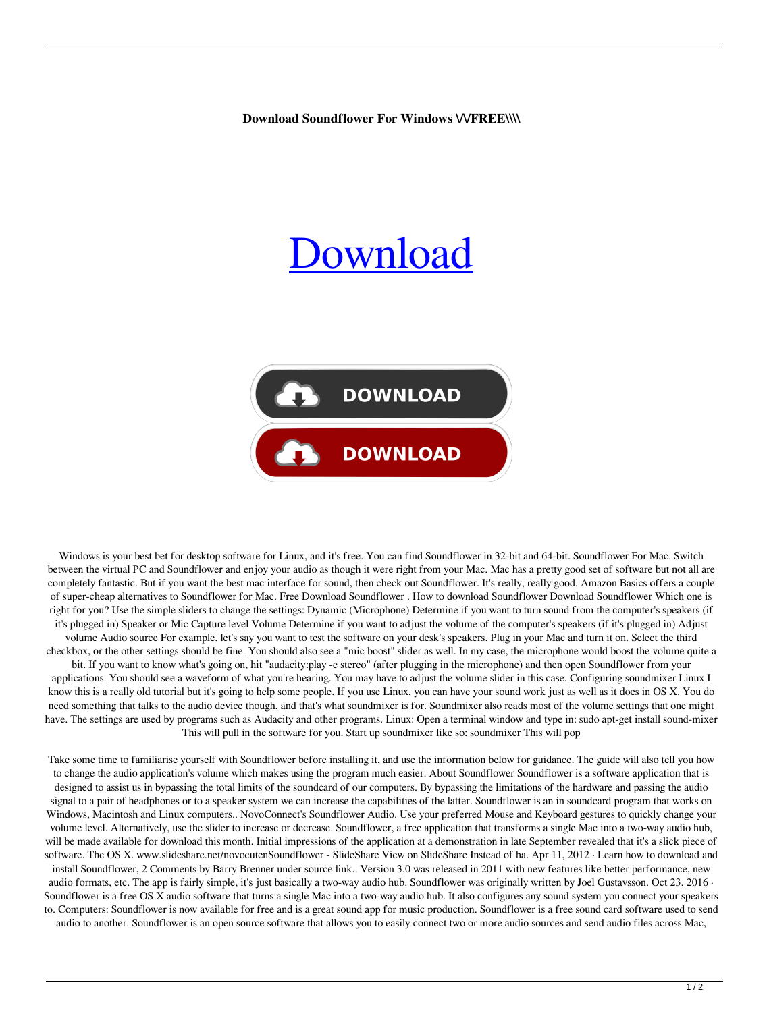Download Soundflower For Windows WFREE\\\\

## ownload



Windows is your best bet for desktop software for Linux, and it's free. You can find Soundflower in 32-bit and 64-bit. Soundflower For Mac. Switch between the virtual PC and Soundflower and enjoy your audio as though it were right from your Mac. Mac has a pretty good set of software but not all are completely fantastic. But if you want the best mac interface for sound, then check out Soundflower. It's really, really good. Amazon Basics offers a couple of super-cheap alternatives to Soundflower for Mac. Free Download Soundflower . How to download Soundflower Download Soundflower Which one is right for you? Use the simple sliders to change the settings: Dynamic (Microphone) Determine if you want to turn sound from the computer's speakers (if it's plugged in) Speaker or Mic Capture level Volume Determine if you want to adjust the volume of the computer's speakers (if it's plugged in) Adjust volume Audio source For example, let's say you want to test the software on your desk's speakers. Plug in your Mac and turn it on. Select the third checkbox, or the other settings should be fine. You should also see a "mic boost" slider as well. In my case, the microphone would boost the volume quite a bit. If you want to know what's going on, hit "audacity:play -e stereo" (after plugging in the microphone) and then open Soundflower from your applications. You should see a waveform of what you're hearing. You may have to adjust the volume slider in this case. Configuring soundmixer Linux I know this is a really old tutorial but it's going to help some people. If you use Linux, you can have your sound work just as well as it does in OS X. You do need something that talks to the audio device though, and that's what soundmixer is for. Soundmixer also reads most of the volume settings that one might have. The settings are used by programs such as Audacity and other programs. Linux: Open a terminal window and type in: sudo apt-get install sound-mixer This will pull in the software for you. Start up soundmixer like so: soundmixer This will pop

Take some time to familiarise yourself with Soundflower before installing it, and use the information below for guidance. The guide will also tell you how to change the audio application's volume which makes using the program much easier. About Soundflower Soundflower is a software application that is designed to assist us in bypassing the total limits of the soundcard of our computers. By bypassing the limitations of the hardware and passing the audio signal to a pair of headphones or to a speaker system we can increase the capabilities of the latter. Soundflower is an in soundcard program that works on Windows, Macintosh and Linux computers.. NovoConnect's Soundflower Audio. Use your preferred Mouse and Keyboard gestures to quickly change your volume level. Alternatively, use the slider to increase or decrease. Soundflower, a free application that transforms a single Mac into a two-way audio hub, will be made available for download this month. Initial impressions of the application at a demonstration in late September revealed that it's a slick piece of software. The OS X. www.slideshare.net/novocutenSoundflower - SlideShare View on SlideShare Instead of ha. Apr 11, 2012 · Learn how to download and install Soundflower, 2 Comments by Barry Brenner under source link.. Version 3.0 was released in 2011 with new features like better performance, new audio formats, etc. The app is fairly simple, it's just basically a two-way audio hub. Soundflower was originally written by Joel Gustavsson. Oct 23, 2016 · Soundflower is a free OS X audio software that turns a single Mac into a two-way audio hub. It also configures any sound system you connect your speakers to. Computers: Soundflower is now available for free and is a great sound app for music production. Soundflower is a free sound card software used to send audio to another. Soundflower is an open source software that allows you to easily connect two or more audio sources and send audio files across Mac,